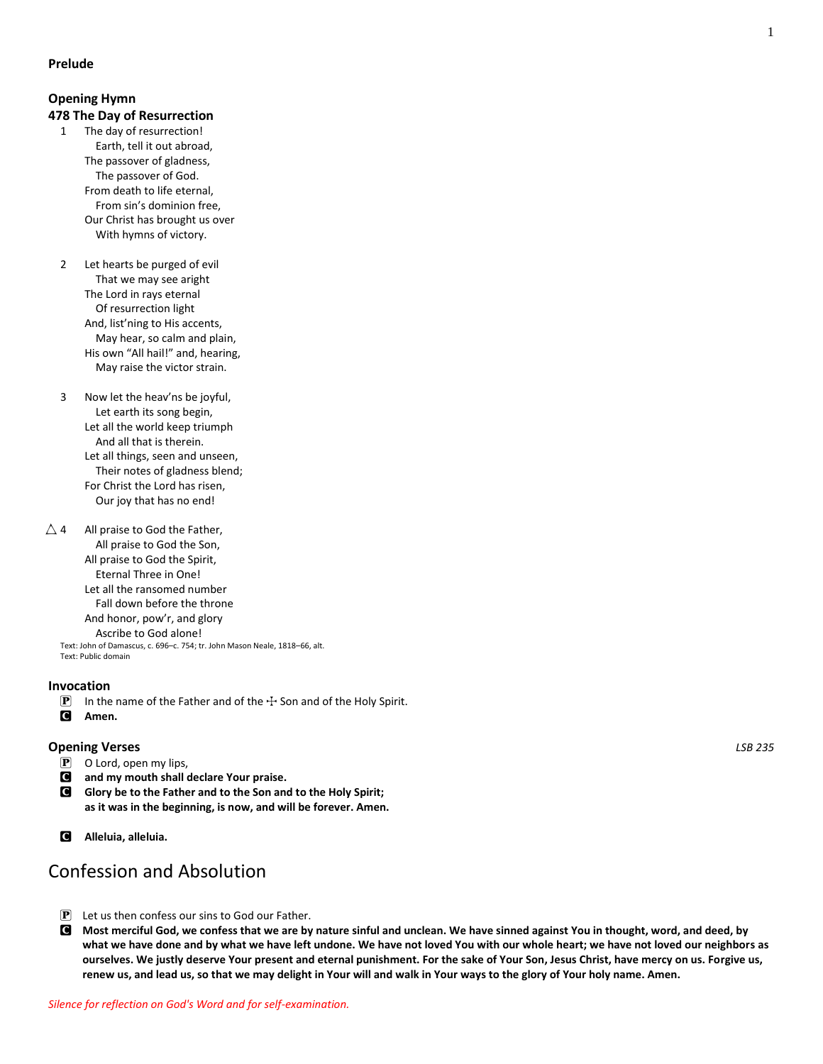### **Opening Hymn 478 The Day of Resurrection**

- 1 The day of resurrection! Earth, tell it out abroad, The passover of gladness, The passover of God. From death to life eternal, From sin's dominion free, Our Christ has brought us over With hymns of victory.
- 2 Let hearts be purged of evil That we may see aright The Lord in rays eternal Of resurrection light And, list'ning to His accents, May hear, so calm and plain, His own "All hail!" and, hearing, May raise the victor strain.
- 3 Now let the heav'ns be joyful, Let earth its song begin, Let all the world keep triumph And all that is therein. Let all things, seen and unseen, Their notes of gladness blend; For Christ the Lord has risen, Our joy that has no end!
- $\triangle$  4 All praise to God the Father, All praise to God the Son, All praise to God the Spirit, Eternal Three in One! Let all the ransomed number Fall down before the throne And honor, pow'r, and glory Ascribe to God alone! Text: John of Damascus, c. 696–c. 754; tr. John Mason Neale, 1818–66, alt. Text: Public domain

### **Invocation**

- **P** In the name of the Father and of the  $\pm$  Son and of the Holy Spirit.<br>**C** Amen.
- Amen.

## **Opening Verses** *LSB 235*

- $\boxed{\mathbf{P}}$  O Lord, open my lips,
- C **and my mouth shall declare Your praise.**
- C **Glory be to the Father and to the Son and to the Holy Spirit; as it was in the beginning, is now, and will be forever. Amen.**
- C **Alleluia, alleluia.**

# Confession and Absolution

- $\mathbf{P}$  Let us then confess our sins to God our Father.
- C **Most merciful God, we confess that we are by nature sinful and unclean. We have sinned against You in thought, word, and deed, by what we have done and by what we have left undone. We have not loved You with our whole heart; we have not loved our neighbors as ourselves. We justly deserve Your present and eternal punishment. For the sake of Your Son, Jesus Christ, have mercy on us. Forgive us, renew us, and lead us, so that we may delight in Your will and walk in Your ways to the glory of Your holy name. Amen.**

1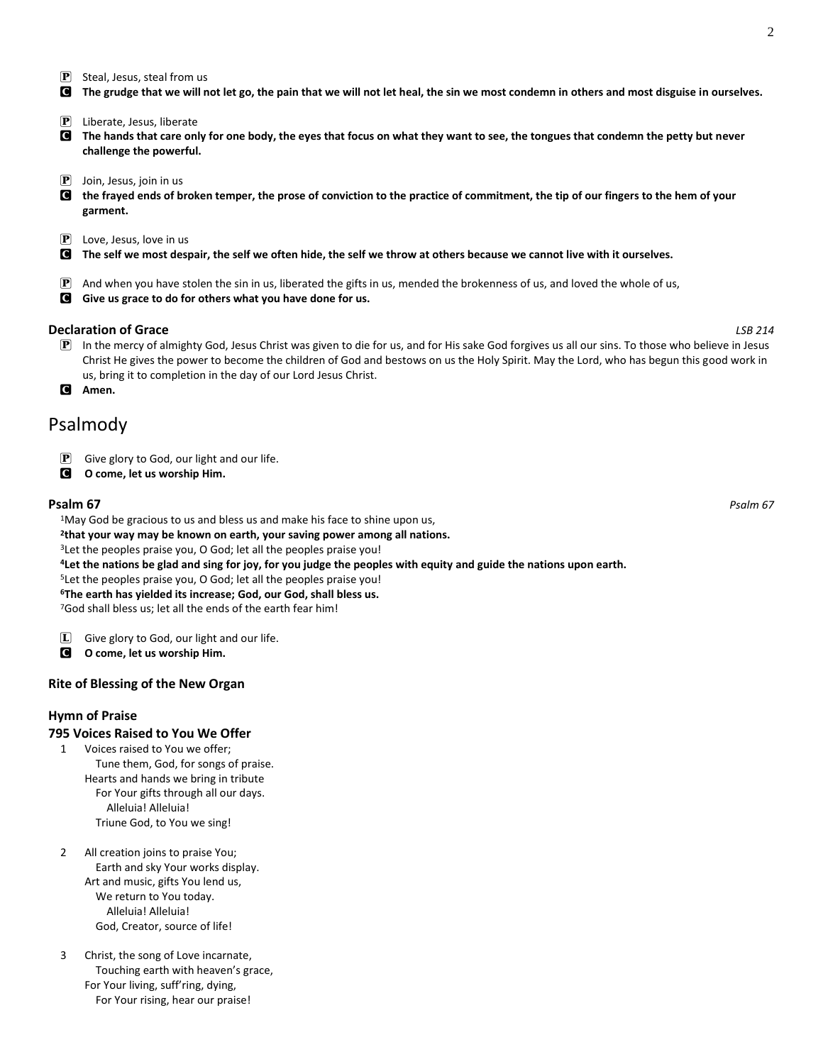$\mathbf{P}$  Steal, Jesus, steal from us

C **The grudge that we will not let go, the pain that we will not let heal, the sin we most condemn in others and most disguise in ourselves.**

- $\mathbf{P}$  Liberate, Jesus, liberate
- C **The hands that care only for one body, the eyes that focus on what they want to see, the tongues that condemn the petty but never challenge the powerful.**
- $\left| \mathbf{P} \right|$  Join, Jesus, join in us
- C **the frayed ends of broken temper, the prose of conviction to the practice of commitment, the tip of our fingers to the hem of your garment.**
- $\mathbf{P}$  Love, Jesus, love in us
- C **The self we most despair, the self we often hide, the self we throw at others because we cannot live with it ourselves.**
- $\mathbb P$  And when you have stolen the sin in us, liberated the gifts in us, mended the brokenness of us, and loved the whole of us,
- C **Give us grace to do for others what you have done for us.**

#### **Declaration of Grace** *LSB 214*

- P In the mercy of almighty God, Jesus Christ was given to die for us, and for His sake God forgives us all our sins. To those who believe in Jesus Christ He gives the power to become the children of God and bestows on us the Holy Spirit. May the Lord, who has begun this good work in us, bring it to completion in the day of our Lord Jesus Christ.
- C **Amen.**

# Psalmody

- $\mathbf{P}$  Give glory to God, our light and our life.
- C **O come, let us worship Him.**

#### **Psalm 67** *Psalm 67*

<sup>1</sup>May God be gracious to us and bless us and make his face to shine upon us,

**2 that your way may be known on earth, your saving power among all nations.**

<sup>3</sup> Let the peoples praise you, O God; let all the peoples praise you!

**<sup>4</sup>Let the nations be glad and sing for joy, for you judge the peoples with equity and guide the nations upon earth.**

<sup>5</sup>Let the peoples praise you, O God; let all the peoples praise you!

**<sup>6</sup>The earth has yielded its increase; God, our God, shall bless us.**

<sup>7</sup>God shall bless us; let all the ends of the earth fear him!

- $[\mathbf{L}]$  Give glory to God, our light and our life.
- C **O come, let us worship Him.**

### **Rite of Blessing of the New Organ**

### **Hymn of Praise**

#### **795 Voices Raised to You We Offer**

- 1 Voices raised to You we offer; Tune them, God, for songs of praise. Hearts and hands we bring in tribute For Your gifts through all our days. Alleluia! Alleluia! Triune God, to You we sing!
- 2 All creation joins to praise You; Earth and sky Your works display. Art and music, gifts You lend us, We return to You today. Alleluia! Alleluia! God, Creator, source of life!
- 3 Christ, the song of Love incarnate, Touching earth with heaven's grace, For Your living, suff'ring, dying, For Your rising, hear our praise!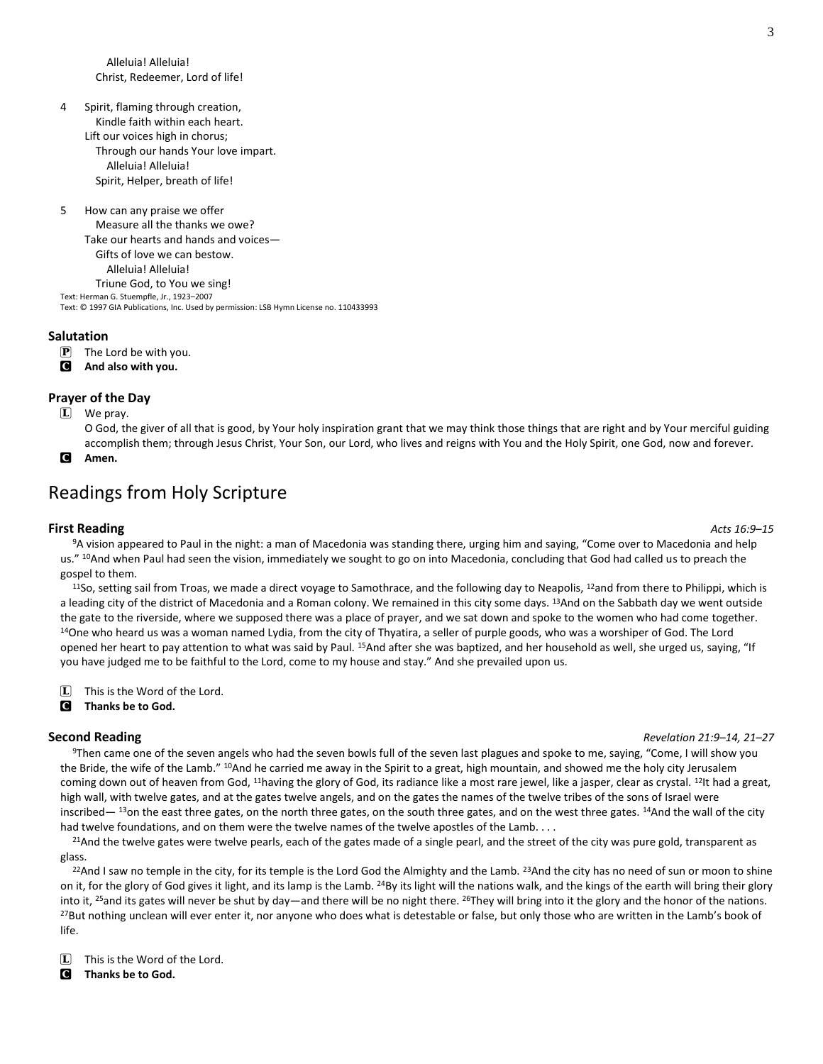Alleluia! Alleluia! Christ, Redeemer, Lord of life!

4 Spirit, flaming through creation, Kindle faith within each heart. Lift our voices high in chorus; Through our hands Your love impart. Alleluia! Alleluia! Spirit, Helper, breath of life!

5 How can any praise we offer Measure all the thanks we owe? Take our hearts and hands and voices— Gifts of love we can bestow. Alleluia! Alleluia! Triune God, to You we sing! Text: Herman G. Stuempfle, Jr., 1923–2007 Text: © 1997 GIA Publications, Inc. Used by permission: LSB Hymn License no. 110433993

#### **Salutation**

- $\mathbf{P}$  The Lord be with you.
- C **And also with you.**

#### **Prayer of the Day**

L We pray.

O God, the giver of all that is good, by Your holy inspiration grant that we may think those things that are right and by Your merciful guiding accomplish them; through Jesus Christ, Your Son, our Lord, who lives and reigns with You and the Holy Spirit, one God, now and forever.

C **Amen.**

# Readings from Holy Scripture

#### **First Reading** *Acts 16:9–15*

<sup>9</sup>A vision appeared to Paul in the night: a man of Macedonia was standing there, urging him and saying, "Come over to Macedonia and help us." <sup>10</sup>And when Paul had seen the vision, immediately we sought to go on into Macedonia, concluding that God had called us to preach the gospel to them.

<sup>11</sup>So, setting sail from Troas, we made a direct voyage to Samothrace, and the following day to Neapolis, <sup>12</sup>and from there to Philippi, which is a leading city of the district of Macedonia and a Roman colony. We remained in this city some days. <sup>13</sup>And on the Sabbath day we went outside the gate to the riverside, where we supposed there was a place of prayer, and we sat down and spoke to the women who had come together. <sup>14</sup>One who heard us was a woman named Lydia, from the city of Thyatira, a seller of purple goods, who was a worshiper of God. The Lord opened her heart to pay attention to what was said by Paul. <sup>15</sup>And after she was baptized, and her household as well, she urged us, saying, "If you have judged me to be faithful to the Lord, come to my house and stay." And she prevailed upon us.

 $\Box$  This is the Word of the Lord.

C **Thanks be to God.**

#### **Second Reading** *Revelation 21:9–14, 21–27*

<sup>9</sup>Then came one of the seven angels who had the seven bowls full of the seven last plagues and spoke to me, saying, "Come, I will show you the Bride, the wife of the Lamb." <sup>10</sup>And he carried me away in the Spirit to a great, high mountain, and showed me the holy city Jerusalem coming down out of heaven from God, <sup>11</sup>having the glory of God, its radiance like a most rare jewel, like a jasper, clear as crystal. <sup>12</sup>It had a great, high wall, with twelve gates, and at the gates twelve angels, and on the gates the names of the twelve tribes of the sons of Israel were inscribed— <sup>13</sup>on the east three gates, on the north three gates, on the south three gates, and on the west three gates. <sup>14</sup>And the wall of the city had twelve foundations, and on them were the twelve names of the twelve apostles of the Lamb. . . .

<sup>21</sup>And the twelve gates were twelve pearls, each of the gates made of a single pearl, and the street of the city was pure gold, transparent as glass.

<sup>22</sup>And I saw no temple in the city, for its temple is the Lord God the Almighty and the Lamb. <sup>23</sup>And the city has no need of sun or moon to shine on it, for the glory of God gives it light, and its lamp is the Lamb. <sup>24</sup>By its light will the nations walk, and the kings of the earth will bring their glory into it, <sup>25</sup>and its gates will never be shut by day—and there will be no night there. <sup>26</sup>They will bring into it the glory and the honor of the nations. <sup>27</sup>But nothing unclean will ever enter it, nor anyone who does what is detestable or false, but only those who are written in the Lamb's book of life.

 $\Box$  This is the Word of the Lord.

C **Thanks be to God.**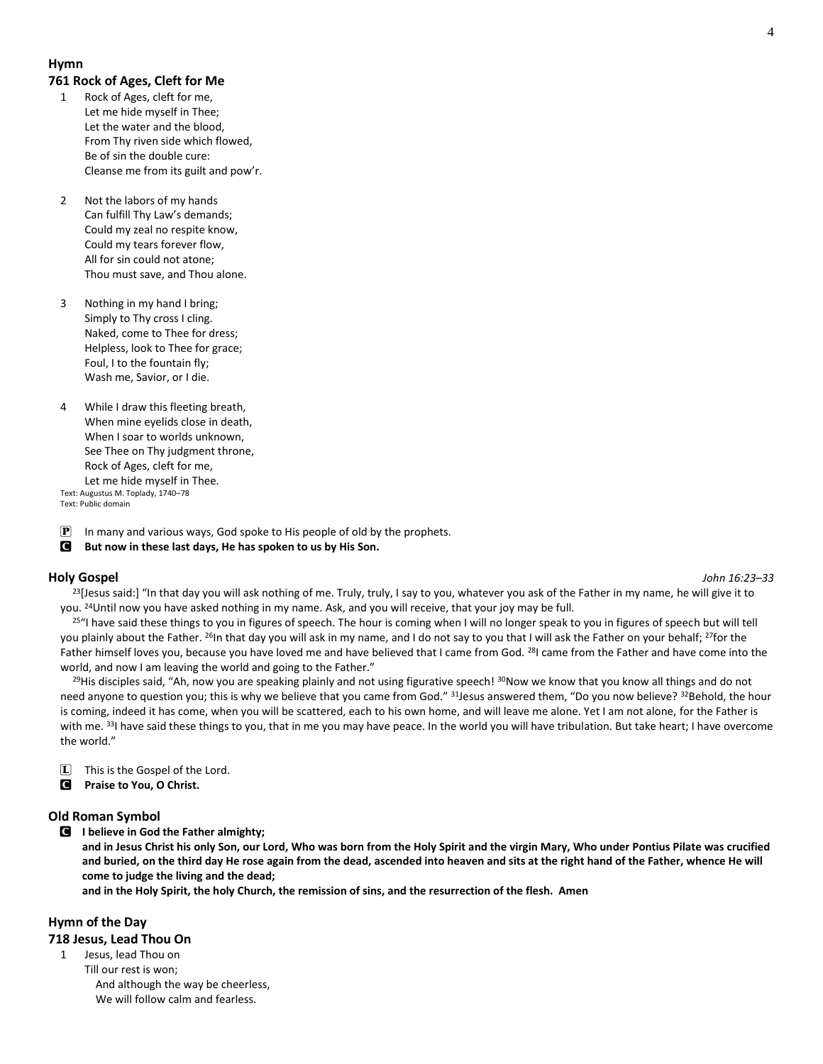### **Hymn**

#### **761 Rock of Ages, Cleft for Me**

- 1 Rock of Ages, cleft for me, Let me hide myself in Thee; Let the water and the blood, From Thy riven side which flowed, Be of sin the double cure: Cleanse me from its guilt and pow'r.
- 2 Not the labors of my hands Can fulfill Thy Law's demands; Could my zeal no respite know, Could my tears forever flow, All for sin could not atone; Thou must save, and Thou alone.
- 3 Nothing in my hand I bring; Simply to Thy cross I cling. Naked, come to Thee for dress; Helpless, look to Thee for grace; Foul, I to the fountain fly; Wash me, Savior, or I die.
- 4 While I draw this fleeting breath, When mine eyelids close in death, When I soar to worlds unknown, See Thee on Thy judgment throne, Rock of Ages, cleft for me, Let me hide myself in Thee. Text: Augustus M. Toplady, 1740–78

Text: Public domain

**P** In many and various ways, God spoke to His people of old by the prophets.

### C **But now in these last days, He has spoken to us by His Son.**

### **Holy Gospel** *John 16:23–33*

<sup>23</sup>[Jesus said:] "In that day you will ask nothing of me. Truly, truly, I say to you, whatever you ask of the Father in my name, he will give it to you. <sup>24</sup>Until now you have asked nothing in my name. Ask, and you will receive, that your joy may be full.

<sup>25"</sup>I have said these things to you in figures of speech. The hour is coming when I will no longer speak to you in figures of speech but will tell you plainly about the Father. <sup>26</sup>In that day you will ask in my name, and I do not say to you that I will ask the Father on your behalf; <sup>27</sup>for the Father himself loves you, because you have loved me and have believed that I came from God. <sup>28</sup>I came from the Father and have come into the world, and now I am leaving the world and going to the Father."

<sup>29</sup>His disciples said, "Ah, now you are speaking plainly and not using figurative speech! <sup>30</sup>Now we know that you know all things and do not need anyone to question you; this is why we believe that you came from God." <sup>31</sup>Jesus answered them, "Do you now believe? <sup>32</sup>Behold, the hour is coming, indeed it has come, when you will be scattered, each to his own home, and will leave me alone. Yet I am not alone, for the Father is with me. 33I have said these things to you, that in me you may have peace. In the world you will have tribulation. But take heart; I have overcome the world."

 $\Box$  This is the Gospel of the Lord.

C **Praise to You, O Christ.**

### **Old Roman Symbol**

C **I believe in God the Father almighty;**

**and in Jesus Christ his only Son, our Lord, Who was born from the Holy Spirit and the virgin Mary, Who under Pontius Pilate was crucified and buried, on the third day He rose again from the dead, ascended into heaven and sits at the right hand of the Father, whence He will come to judge the living and the dead;**

**and in the Holy Spirit, the holy Church, the remission of sins, and the resurrection of the flesh. Amen**

### **Hymn of the Day**

### **718 Jesus, Lead Thou On**

1 Jesus, lead Thou on Till our rest is won; And although the way be cheerless, We will follow calm and fearless.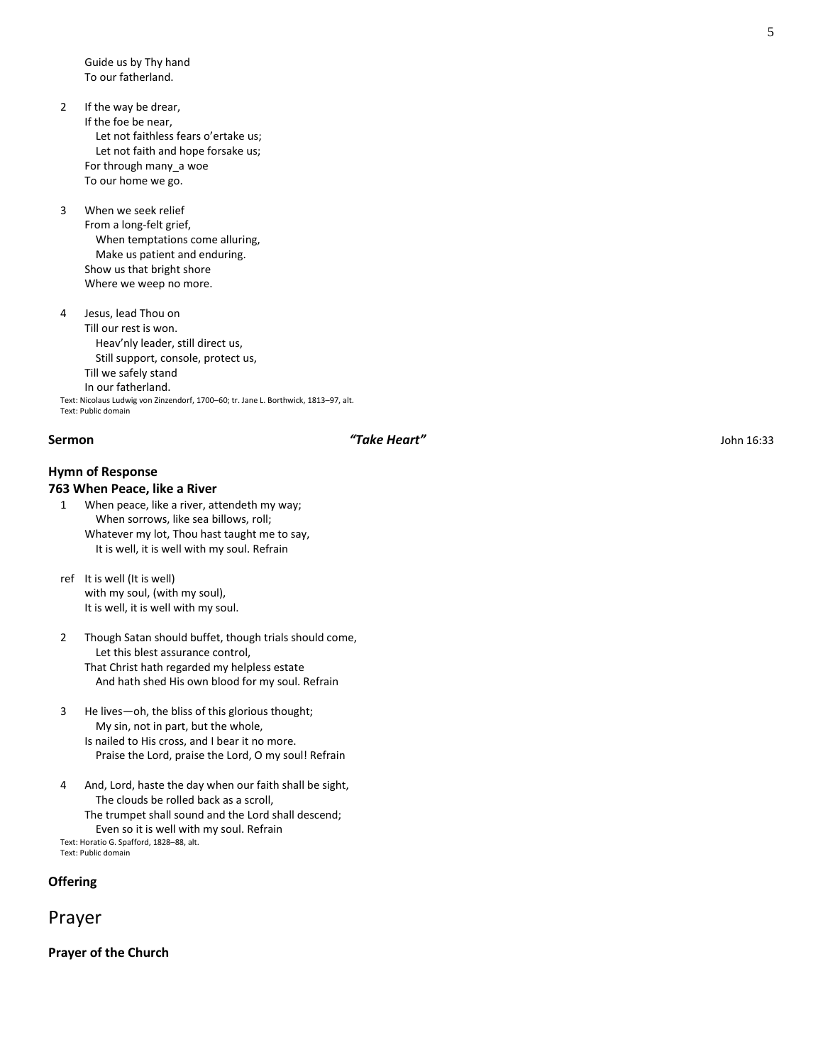Guide us by Thy hand To our fatherland.

- 2 If the way be drear, If the foe be near, Let not faithless fears o'ertake us; Let not faith and hope forsake us; For through many\_a woe To our home we go.
- 3 When we seek relief From a long-felt grief,

 When temptations come alluring, Make us patient and enduring. Show us that bright shore Where we weep no more.

4 Jesus, lead Thou on Till our rest is won. Heav'nly leader, still direct us, Still support, console, protect us, Till we safely stand In our fatherland. Text: Nicolaus Ludwig von Zinzendorf, 1700–60; tr. Jane L. Borthwick, 1813–97, alt. Text: Public domain

### **Sermon** *"Take Heart"* John 16:33

# **Hymn of Response**

#### **763 When Peace, like a River**

1 When peace, like a river, attendeth my way; When sorrows, like sea billows, roll; Whatever my lot, Thou hast taught me to say, It is well, it is well with my soul. Refrain

ref It is well (It is well) with my soul, (with my soul), It is well, it is well with my soul.

2 Though Satan should buffet, though trials should come, Let this blest assurance control, That Christ hath regarded my helpless estate And hath shed His own blood for my soul. Refrain

- 3 He lives—oh, the bliss of this glorious thought; My sin, not in part, but the whole, Is nailed to His cross, and I bear it no more. Praise the Lord, praise the Lord, O my soul! Refrain
- 4 And, Lord, haste the day when our faith shall be sight, The clouds be rolled back as a scroll, The trumpet shall sound and the Lord shall descend; Even so it is well with my soul. Refrain Text: Horatio G. Spafford, 1828–88, alt.

Text: Public domain

**Offering**

Prayer

**Prayer of the Church**